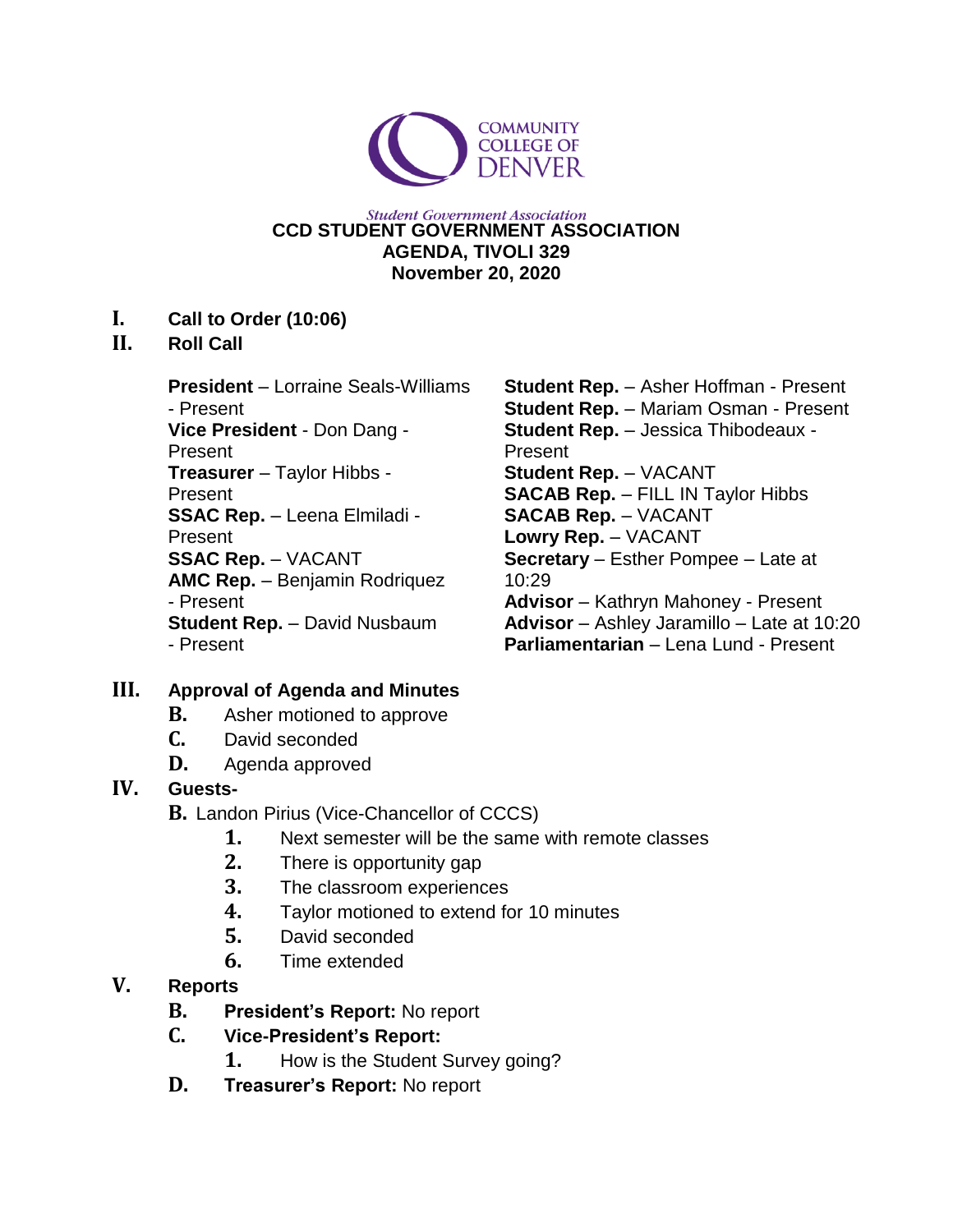

#### **Student Government Association CCD STUDENT GOVERNMENT ASSOCIATION AGENDA, TIVOLI 329 November 20, 2020**

#### **I. Call to Order (10:06)**

#### **II. Roll Call**

**President** – Lorraine Seals-Williams - Present **Vice President** - Don Dang - Present **Treasurer** – Taylor Hibbs - Present **SSAC Rep.** – Leena Elmiladi - Present **SSAC Rep.** – VACANT **AMC Rep.** – Benjamin Rodriquez - Present **Student Rep.** – David Nusbaum - Present

**Student Rep.** – Asher Hoffman - Present **Student Rep.** – Mariam Osman - Present **Student Rep.** – Jessica Thibodeaux - Present **Student Rep.** – VACANT **SACAB Rep.** – FILL IN Taylor Hibbs **SACAB Rep.** – VACANT **Lowry Rep.** – VACANT **Secretary** – Esther Pompee – Late at 10:29 **Advisor** – Kathryn Mahoney - Present **Advisor** – Ashley Jaramillo – Late at 10:20 **Parliamentarian** – Lena Lund - Present

### **III. Approval of Agenda and Minutes**

- **B.** Asher motioned to approve
- **C.** David seconded
- **D.** Agenda approved

### **IV. Guests-**

- **B.** Landon Pirius (Vice-Chancellor of CCCS)
	- **1.** Next semester will be the same with remote classes
	- **2.** There is opportunity gap
	- **3.** The classroom experiences
	- **4.** Taylor motioned to extend for 10 minutes
	- **5.** David seconded
	- **6.** Time extended

## **V. Reports**

- **B. President's Report:** No report
- **C. Vice-President's Report:**
	- **1.** How is the Student Survey going?
- **D. Treasurer's Report:** No report